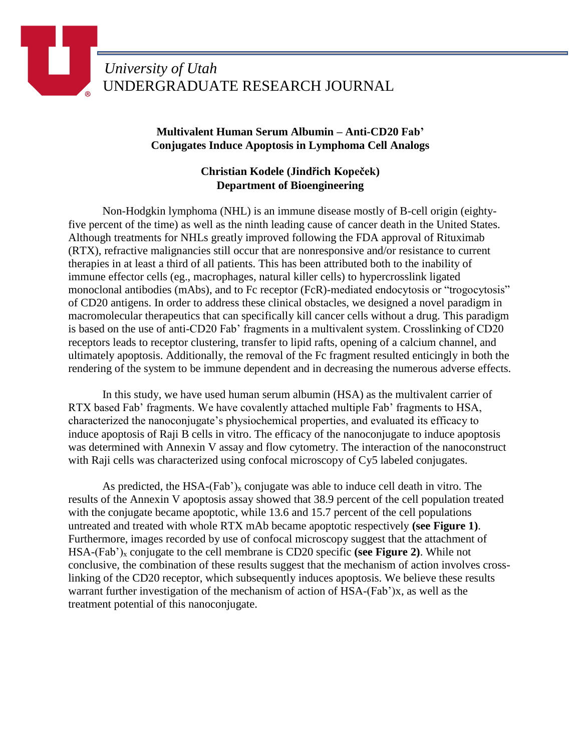## **Multivalent Human Serum Albumin – Anti-CD20 Fab' Conjugates Induce Apoptosis in Lymphoma Cell Analogs**

## **Christian Kodele (Jindřich Kopeček) Department of Bioengineering**

Non-Hodgkin lymphoma (NHL) is an immune disease mostly of B-cell origin (eightyfive percent of the time) as well as the ninth leading cause of cancer death in the United States. Although treatments for NHLs greatly improved following the FDA approval of Rituximab (RTX), refractive malignancies still occur that are nonresponsive and/or resistance to current therapies in at least a third of all patients. This has been attributed both to the inability of immune effector cells (eg., macrophages, natural killer cells) to hypercrosslink ligated monoclonal antibodies (mAbs), and to Fc receptor (FcR)-mediated endocytosis or "trogocytosis" of CD20 antigens. In order to address these clinical obstacles, we designed a novel paradigm in macromolecular therapeutics that can specifically kill cancer cells without a drug. This paradigm is based on the use of anti-CD20 Fab' fragments in a multivalent system. Crosslinking of CD20 receptors leads to receptor clustering, transfer to lipid rafts, opening of a calcium channel, and ultimately apoptosis. Additionally, the removal of the Fc fragment resulted enticingly in both the rendering of the system to be immune dependent and in decreasing the numerous adverse effects.

In this study, we have used human serum albumin (HSA) as the multivalent carrier of RTX based Fab' fragments. We have covalently attached multiple Fab' fragments to HSA, characterized the nanoconjugate's physiochemical properties, and evaluated its efficacy to induce apoptosis of Raji B cells in vitro. The efficacy of the nanoconjugate to induce apoptosis was determined with Annexin V assay and flow cytometry. The interaction of the nanoconstruct with Raji cells was characterized using confocal microscopy of Cy5 labeled conjugates.

As predicted, the HSA- $(Fab')_x$  conjugate was able to induce cell death in vitro. The results of the Annexin V apoptosis assay showed that 38.9 percent of the cell population treated with the conjugate became apoptotic, while 13.6 and 15.7 percent of the cell populations untreated and treated with whole RTX mAb became apoptotic respectively **(see Figure 1)**. Furthermore, images recorded by use of confocal microscopy suggest that the attachment of HSA-(Fab')<sup>x</sup> conjugate to the cell membrane is CD20 specific **(see Figure 2)**. While not conclusive, the combination of these results suggest that the mechanism of action involves crosslinking of the CD20 receptor, which subsequently induces apoptosis. We believe these results warrant further investigation of the mechanism of action of HSA-(Fab')x, as well as the treatment potential of this nanoconjugate.